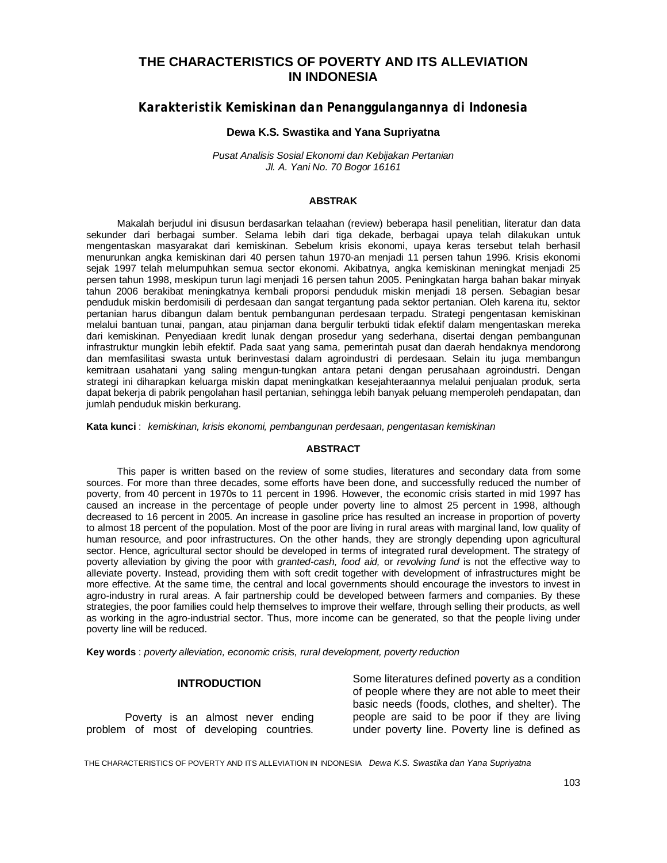# **THE CHARACTERISTICS OF POVERTY AND ITS ALLEVIATION IN INDONESIA**

*Karakteristik Kemiskinan dan Penanggulangannya di Indonesia*

#### **Dewa K.S. Swastika and Yana Supriyatna**

*Pusat Analisis Sosial Ekonomi dan Kebijakan Pertanian Jl. A. Yani No. 70 Bogor 16161*

#### **ABSTRAK**

Makalah berjudul ini disusun berdasarkan telaahan (review) beberapa hasil penelitian, literatur dan data sekunder dari berbagai sumber. Selama lebih dari tiga dekade, berbagai upaya telah dilakukan untuk mengentaskan masyarakat dari kemiskinan. Sebelum krisis ekonomi, upaya keras tersebut telah berhasil menurunkan angka kemiskinan dari 40 persen tahun 1970-an menjadi 11 persen tahun 1996. Krisis ekonomi sejak 1997 telah melumpuhkan semua sector ekonomi. Akibatnya, angka kemiskinan meningkat menjadi 25 persen tahun 1998, meskipun turun lagi menjadi 16 persen tahun 2005. Peningkatan harga bahan bakar minyak tahun 2006 berakibat meningkatnya kembali proporsi penduduk miskin menjadi 18 persen. Sebagian besar penduduk miskin berdomisili di perdesaan dan sangat tergantung pada sektor pertanian. Oleh karena itu, sektor pertanian harus dibangun dalam bentuk pembangunan perdesaan terpadu. Strategi pengentasan kemiskinan melalui bantuan tunai, pangan, atau pinjaman dana bergulir terbukti tidak efektif dalam mengentaskan mereka dari kemiskinan. Penyediaan kredit lunak dengan prosedur yang sederhana, disertai dengan pembangunan infrastruktur mungkin lebih efektif. Pada saat yang sama, pemerintah pusat dan daerah hendaknya mendorong dan memfasilitasi swasta untuk berinvestasi dalam agroindustri di perdesaan. Selain itu juga membangun kemitraan usahatani yang saling mengun-tungkan antara petani dengan perusahaan agroindustri. Dengan strategi ini diharapkan keluarga miskin dapat meningkatkan kesejahteraannya melalui penjualan produk, serta dapat bekerja di pabrik pengolahan hasil pertanian, sehingga lebih banyak peluang memperoleh pendapatan, dan jumlah penduduk miskin berkurang.

**Kata kunci** : *kemiskinan, krisis ekonomi, pembangunan perdesaan, pengentasan kemiskinan* 

#### **ABSTRACT**

This paper is written based on the review of some studies, literatures and secondary data from some sources. For more than three decades, some efforts have been done, and successfully reduced the number of poverty, from 40 percent in 1970s to 11 percent in 1996. However, the economic crisis started in mid 1997 has caused an increase in the percentage of people under poverty line to almost 25 percent in 1998, although decreased to 16 percent in 2005. An increase in gasoline price has resulted an increase in proportion of poverty to almost 18 percent of the population. Most of the poor are living in rural areas with marginal land, low quality of human resource, and poor infrastructures. On the other hands, they are strongly depending upon agricultural sector. Hence, agricultural sector should be developed in terms of integrated rural development. The strategy of poverty alleviation by giving the poor with *granted-cash, food aid,* or *revolving fund* is not the effective way to alleviate poverty. Instead, providing them with soft credit together with development of infrastructures might be more effective. At the same time, the central and local governments should encourage the investors to invest in agro-industry in rural areas. A fair partnership could be developed between farmers and companies. By these strategies, the poor families could help themselves to improve their welfare, through selling their products, as well as working in the agro-industrial sector. Thus, more income can be generated, so that the people living under poverty line will be reduced.

**Key words** : *poverty alleviation, economic crisis, rural development, poverty reduction*

#### **INTRODUCTION**

Poverty is an almost never ending problem of most of developing countries.

Some literatures defined poverty as a condition of people where they are not able to meet their basic needs (foods, clothes, and shelter). The people are said to be poor if they are living under poverty line. Poverty line is defined as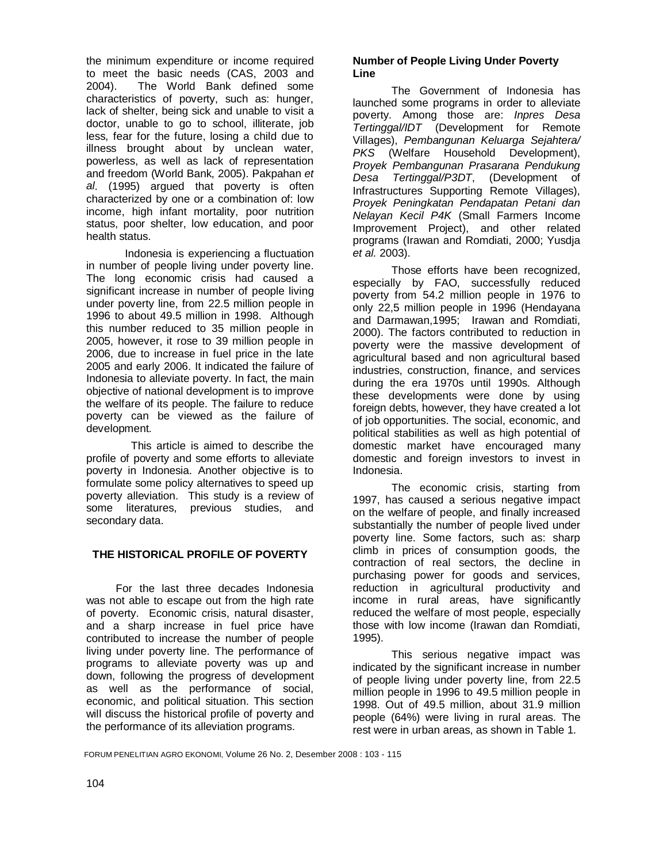the minimum expenditure or income required to meet the basic needs (CAS, 2003 and 2004). The World Bank defined some characteristics of poverty, such as: hunger, lack of shelter, being sick and unable to visit a doctor, unable to go to school, illiterate, job less, fear for the future, losing a child due to illness brought about by unclean water, powerless, as well as lack of representation and freedom (World Bank, 2005). Pakpahan *et al*. (1995) argued that poverty is often characterized by one or a combination of: low income, high infant mortality, poor nutrition status, poor shelter, low education, and poor health status.

Indonesia is experiencing a fluctuation in number of people living under poverty line. The long economic crisis had caused a significant increase in number of people living under poverty line, from 22.5 million people in 1996 to about 49.5 million in 1998. Although this number reduced to 35 million people in 2005, however, it rose to 39 million people in 2006, due to increase in fuel price in the late 2005 and early 2006. It indicated the failure of Indonesia to alleviate poverty. In fact, the main objective of national development is to improve the welfare of its people. The failure to reduce poverty can be viewed as the failure of development.

 This article is aimed to describe the profile of poverty and some efforts to alleviate poverty in Indonesia. Another objective is to formulate some policy alternatives to speed up poverty alleviation. This study is a review of some literatures, previous studies, and secondary data.

# **THE HISTORICAL PROFILE OF POVERTY**

For the last three decades Indonesia was not able to escape out from the high rate of poverty. Economic crisis, natural disaster, and a sharp increase in fuel price have contributed to increase the number of people living under poverty line. The performance of programs to alleviate poverty was up and down, following the progress of development as well as the performance of social, economic, and political situation. This section will discuss the historical profile of poverty and the performance of its alleviation programs.

## **Number of People Living Under Poverty Line**

The Government of Indonesia has launched some programs in order to alleviate poverty. Among those are: *Inpres Desa Tertinggal/IDT* (Development for Remote Villages), *Pembangunan Keluarga Sejahtera/ PKS* (Welfare Household Development), *Proyek Pembangunan Prasarana Pendukung Desa Tertinggal/P3DT*, (Development of Infrastructures Supporting Remote Villages), *Proyek Peningkatan Pendapatan Petani dan Nelayan Kecil P4K* (Small Farmers Income Improvement Project), and other related programs (Irawan and Romdiati, 2000; Yusdja *et al.* 2003).

Those efforts have been recognized, especially by FAO, successfully reduced poverty from 54.2 million people in 1976 to only 22,5 million people in 1996 (Hendayana and Darmawan,1995; Irawan and Romdiati, 2000). The factors contributed to reduction in poverty were the massive development of agricultural based and non agricultural based industries, construction, finance, and services during the era 1970s until 1990s. Although these developments were done by using foreign debts, however, they have created a lot of job opportunities. The social, economic, and political stabilities as well as high potential of domestic market have encouraged many domestic and foreign investors to invest in Indonesia.

The economic crisis, starting from 1997, has caused a serious negative impact on the welfare of people, and finally increased substantially the number of people lived under poverty line. Some factors, such as: sharp climb in prices of consumption goods, the contraction of real sectors, the decline in purchasing power for goods and services, reduction in agricultural productivity and income in rural areas, have significantly reduced the welfare of most people, especially those with low income (Irawan dan Romdiati, 1995).

This serious negative impact was indicated by the significant increase in number of people living under poverty line, from 22.5 million people in 1996 to 49.5 million people in 1998. Out of 49.5 million, about 31.9 million people (64%) were living in rural areas. The rest were in urban areas, as shown in Table 1.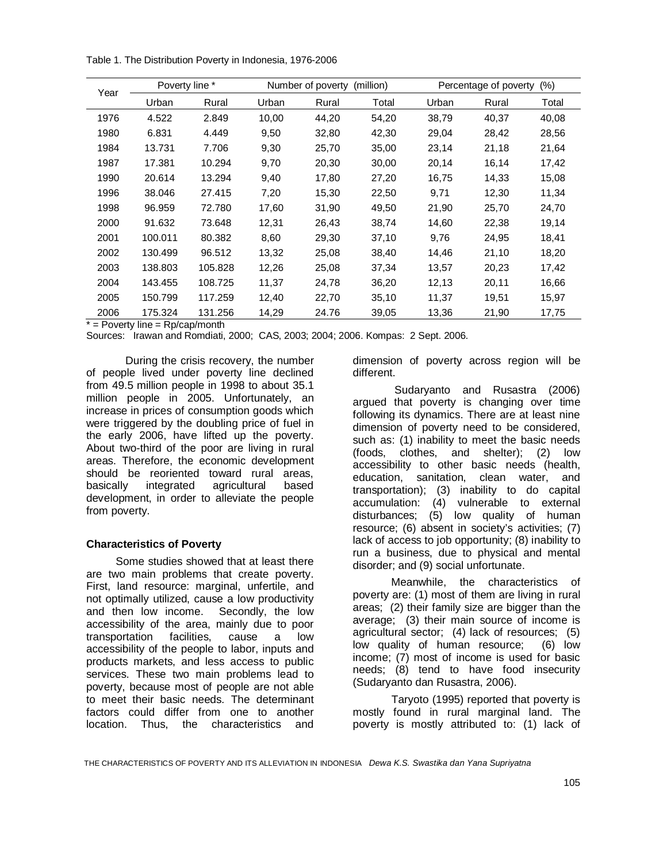Table 1. The Distribution Poverty in Indonesia, 1976-2006

| Year | Poverty line * |         | Number of poverty<br>(million) |       |       | (% )<br>Percentage of poverty |       |       |
|------|----------------|---------|--------------------------------|-------|-------|-------------------------------|-------|-------|
|      | Urban          | Rural   | Urban                          | Rural | Total | Urban                         | Rural | Total |
| 1976 | 4.522          | 2.849   | 10,00                          | 44,20 | 54,20 | 38,79                         | 40,37 | 40,08 |
| 1980 | 6.831          | 4.449   | 9,50                           | 32,80 | 42,30 | 29,04                         | 28,42 | 28,56 |
| 1984 | 13.731         | 7.706   | 9,30                           | 25,70 | 35,00 | 23,14                         | 21,18 | 21,64 |
| 1987 | 17.381         | 10.294  | 9,70                           | 20,30 | 30,00 | 20,14                         | 16,14 | 17,42 |
| 1990 | 20.614         | 13.294  | 9,40                           | 17,80 | 27,20 | 16,75                         | 14,33 | 15,08 |
| 1996 | 38.046         | 27.415  | 7,20                           | 15,30 | 22,50 | 9,71                          | 12,30 | 11,34 |
| 1998 | 96.959         | 72.780  | 17,60                          | 31,90 | 49,50 | 21,90                         | 25,70 | 24,70 |
| 2000 | 91.632         | 73.648  | 12,31                          | 26,43 | 38,74 | 14,60                         | 22,38 | 19,14 |
| 2001 | 100.011        | 80.382  | 8,60                           | 29,30 | 37,10 | 9,76                          | 24,95 | 18,41 |
| 2002 | 130.499        | 96.512  | 13,32                          | 25,08 | 38,40 | 14,46                         | 21,10 | 18,20 |
| 2003 | 138.803        | 105.828 | 12,26                          | 25,08 | 37,34 | 13,57                         | 20,23 | 17,42 |
| 2004 | 143.455        | 108.725 | 11,37                          | 24,78 | 36,20 | 12,13                         | 20,11 | 16,66 |
| 2005 | 150.799        | 117.259 | 12,40                          | 22,70 | 35,10 | 11,37                         | 19,51 | 15,97 |
| 2006 | 175.324        | 131.256 | 14,29                          | 24.76 | 39,05 | 13,36                         | 21,90 | 17,75 |

 $*$  = Poverty line = Rp/cap/month

Sources: Irawan and Romdiati, 2000; CAS, 2003; 2004; 2006. Kompas: 2 Sept. 2006.

During the crisis recovery, the number of people lived under poverty line declined from 49.5 million people in 1998 to about 35.1 million people in 2005. Unfortunately, an increase in prices of consumption goods which were triggered by the doubling price of fuel in the early 2006, have lifted up the poverty. About two-third of the poor are living in rural areas. Therefore, the economic development should be reoriented toward rural areas, basically integrated agricultural based development, in order to alleviate the people from poverty.

### **Characteristics of Poverty**

Some studies showed that at least there are two main problems that create poverty. First, land resource: marginal, unfertile, and not optimally utilized, cause a low productivity and then low income. Secondly, the low accessibility of the area, mainly due to poor transportation facilities, cause a low accessibility of the people to labor, inputs and products markets, and less access to public services. These two main problems lead to poverty, because most of people are not able to meet their basic needs. The determinant factors could differ from one to another location. Thus, the characteristics and

dimension of poverty across region will be different.

 Sudaryanto and Rusastra (2006) argued that poverty is changing over time following its dynamics. There are at least nine dimension of poverty need to be considered, such as: (1) inability to meet the basic needs (foods, clothes, and shelter); (2) low accessibility to other basic needs (health, education, sanitation, clean water, and transportation); (3) inability to do capital accumulation: (4) vulnerable to external disturbances; (5) low quality of human resource; (6) absent in society's activities; (7) lack of access to job opportunity; (8) inability to run a business, due to physical and mental disorder; and (9) social unfortunate.

Meanwhile, the characteristics of poverty are: (1) most of them are living in rural areas; (2) their family size are bigger than the average; (3) their main source of income is agricultural sector; (4) lack of resources; (5) low quality of human resource; (6) low income; (7) most of income is used for basic needs; (8) tend to have food insecurity (Sudaryanto dan Rusastra, 2006).

Taryoto (1995) reported that poverty is mostly found in rural marginal land. The poverty is mostly attributed to: (1) lack of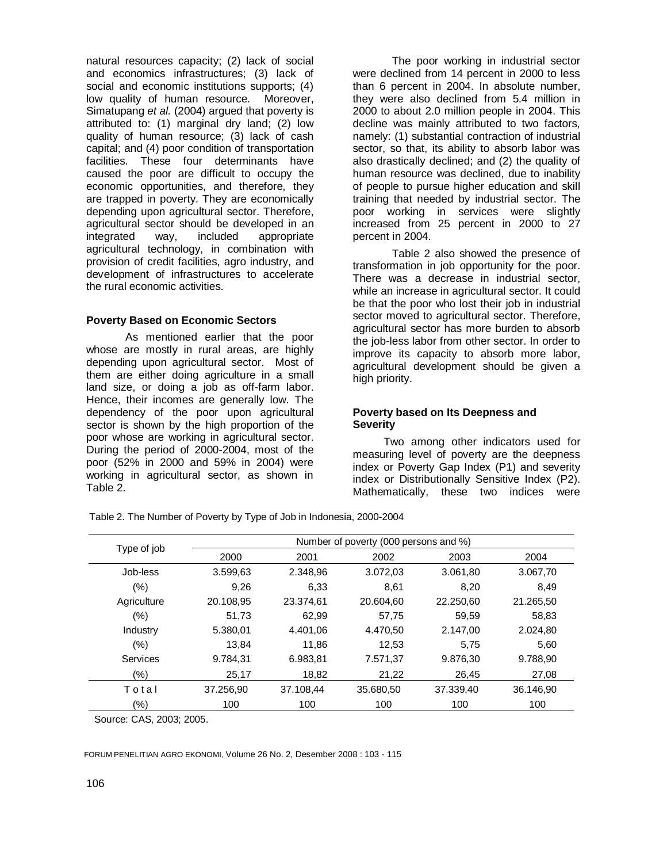natural resources capacity; (2) lack of social and economics infrastructures; (3) lack of social and economic institutions supports; (4) low quality of human resource. Moreover, Simatupang *et al.* (2004) argued that poverty is attributed to: (1) marginal dry land; (2) low quality of human resource; (3) lack of cash capital; and (4) poor condition of transportation facilities. These four determinants have caused the poor are difficult to occupy the economic opportunities, and therefore, they are trapped in poverty. They are economically depending upon agricultural sector. Therefore, agricultural sector should be developed in an<br>integrated way, included appropriate way, included appropriate agricultural technology, in combination with provision of credit facilities, agro industry, and development of infrastructures to accelerate the rural economic activities.

### **Poverty Based on Economic Sectors**

As mentioned earlier that the poor whose are mostly in rural areas, are highly depending upon agricultural sector. Most of them are either doing agriculture in a small land size, or doing a job as off-farm labor. Hence, their incomes are generally low. The dependency of the poor upon agricultural sector is shown by the high proportion of the poor whose are working in agricultural sector. During the period of 2000-2004, most of the poor (52% in 2000 and 59% in 2004) were working in agricultural sector, as shown in Table 2.

The poor working in industrial sector were declined from 14 percent in 2000 to less than 6 percent in 2004. In absolute number, they were also declined from 5.4 million in 2000 to about 2.0 million people in 2004. This decline was mainly attributed to two factors, namely: (1) substantial contraction of industrial sector, so that, its ability to absorb labor was also drastically declined; and (2) the quality of human resource was declined, due to inability of people to pursue higher education and skill training that needed by industrial sector. The poor working in services were slightly increased from 25 percent in 2000 to 27 percent in 2004.

Table 2 also showed the presence of transformation in job opportunity for the poor. There was a decrease in industrial sector, while an increase in agricultural sector. It could be that the poor who lost their job in industrial sector moved to agricultural sector. Therefore, agricultural sector has more burden to absorb the job-less labor from other sector. In order to improve its capacity to absorb more labor, agricultural development should be given a high priority.

# **Poverty based on Its Deepness and Severity**

Two among other indicators used for measuring level of poverty are the deepness index or Poverty Gap Index (P1) and severity index or Distributionally Sensitive Index (P2). Mathematically, these two indices were

Type of job  $\frac{Number \space of \space poverty \space (000 \space persons and \space \%)}{2000}$ 2000 2001 2002 2003 2004 Job-less 3.599,63 2.348,96 3.072,03 3.061,80 3.067,70 (%) 9,26 6,33 8,61 8,20 8,49 Agriculture 20.108,95 23.374,61 20.604,60 22.250,60 21.265,50 (%) 51,73 62,99 57,75 59,59 58,83 Industry 5.380,01 4.401,06 4.470,50 2.147,00 2.024,80 (%) 13,84 11,86 12,53 5,75 5,60 Services 9.784,31 6.983,81 7.571,37 9.876,30 9.788,90 (%) 25,17 18,82 21,22 26,45 27,08 To t a l 37.256,90 37.108,44 35.680,50 37.339,40 36.146,90

(%) 100 100 100 100 100

Table 2. The Number of Poverty by Type of Job in Indonesia, 2000-2004

Source: CAS, 2003; 2005.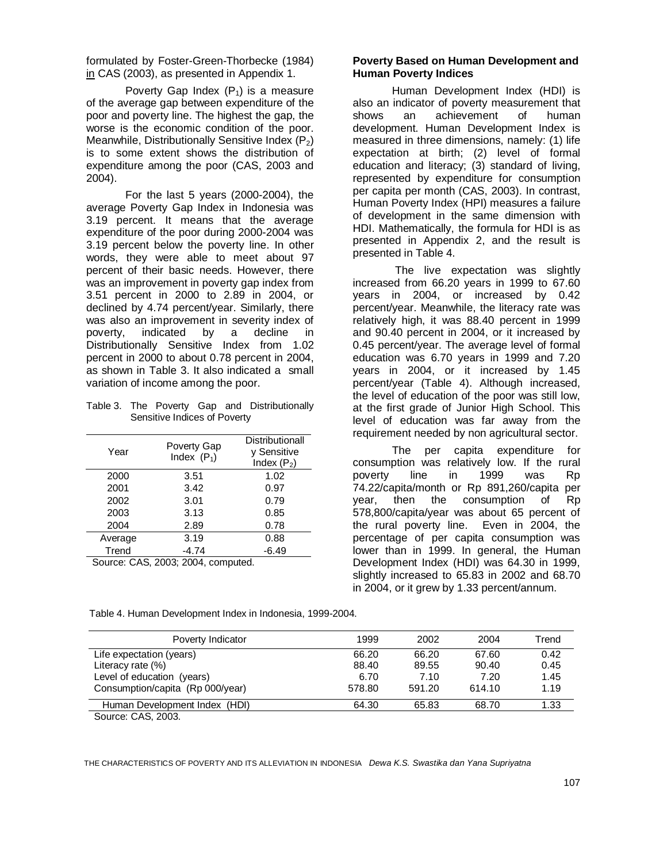formulated by Foster-Green-Thorbecke (1984) in CAS (2003), as presented in Appendix 1.

Poverty Gap Index  $(P_1)$  is a measure of the average gap between expenditure of the poor and poverty line. The highest the gap, the worse is the economic condition of the poor. Meanwhile, Distributionally Sensitive Index  $(P_2)$ is to some extent shows the distribution of expenditure among the poor (CAS, 2003 and 2004).

For the last 5 years (2000-2004), the average Poverty Gap Index in Indonesia was 3.19 percent. It means that the average expenditure of the poor during 2000-2004 was 3.19 percent below the poverty line. In other words, they were able to meet about 97 percent of their basic needs. However, there was an improvement in poverty gap index from 3.51 percent in 2000 to 2.89 in 2004, or declined by 4.74 percent/year. Similarly, there was also an improvement in severity index of<br>poverty, indicated by a decline in poverty, indicated by a decline in Distributionally Sensitive Index from 1.02 percent in 2000 to about 0.78 percent in 2004, as shown in Table 3. It also indicated a small variation of income among the poor.

Table 3. The Poverty Gap and Distributionally Sensitive Indices of Poverty

| Year                                         | Poverty Gap<br>Index $(P_1)$ | Distributionall<br>y Sensitive<br>Index $(P_2)$ |
|----------------------------------------------|------------------------------|-------------------------------------------------|
| 2000                                         | 3.51                         | 1.02                                            |
| 2001                                         | 3.42                         | 0.97                                            |
| 2002                                         | 3.01                         | 0.79                                            |
| 2003                                         | 3.13                         | 0.85                                            |
| 2004                                         | 2.89                         | 0.78                                            |
| Average                                      | 3.19                         | 0.88                                            |
| Trend                                        | -4.74                        | -6.49                                           |
| $C_{\text{OUTCO}}$ $C_A$ $C_A$ $2003$ $2004$ | computad                     |                                                 |

Source: CAS, 2003; 2004, computed.

Source: CAS, 2003.

## **Poverty Based on Human Development and Human Poverty Indices**

Human Development Index (HDI) is also an indicator of poverty measurement that shows an achievement of human development. Human Development Index is measured in three dimensions, namely: (1) life expectation at birth; (2) level of formal education and literacy; (3) standard of living, represented by expenditure for consumption per capita per month (CAS, 2003). In contrast, Human Poverty Index (HPI) measures a failure of development in the same dimension with HDI. Mathematically, the formula for HDI is as presented in Appendix 2, and the result is presented in Table 4.

 The live expectation was slightly increased from 66.20 years in 1999 to 67.60 years in 2004, or increased by 0.42 percent/year. Meanwhile, the literacy rate was relatively high, it was 88.40 percent in 1999 and 90.40 percent in 2004, or it increased by 0.45 percent/year. The average level of formal education was 6.70 years in 1999 and 7.20 years in 2004, or it increased by 1.45 percent/year (Table 4). Although increased, the level of education of the poor was still low, at the first grade of Junior High School. This level of education was far away from the requirement needed by non agricultural sector.

The per capita expenditure for consumption was relatively low. If the rural poverty line in 1999 was Rp 74.22/capita/month or Rp 891,260/capita per year, then the consumption of Rp 578,800/capita/year was about 65 percent of the rural poverty line. Even in 2004, the percentage of per capita consumption was lower than in 1999. In general, the Human Development Index (HDI) was 64.30 in 1999, slightly increased to 65.83 in 2002 and 68.70 in 2004, or it grew by 1.33 percent/annum.

| Poverty Indicator                | 1999   | 2002   | 2004   | Trend |
|----------------------------------|--------|--------|--------|-------|
| Life expectation (years)         | 66.20  | 66.20  | 67.60  | 0.42  |
| Literacy rate $(\%)$             | 88.40  | 89.55  | 90.40  | 0.45  |
| Level of education (years)       | 6.70   | 7.10   | 7.20   | 1.45  |
| Consumption/capita (Rp 000/year) | 578.80 | 591.20 | 614.10 | 1.19  |
| Human Development Index (HDI)    | 64.30  | 65.83  | 68.70  | 1.33  |

Table 4. Human Development Index in Indonesia, 1999-2004.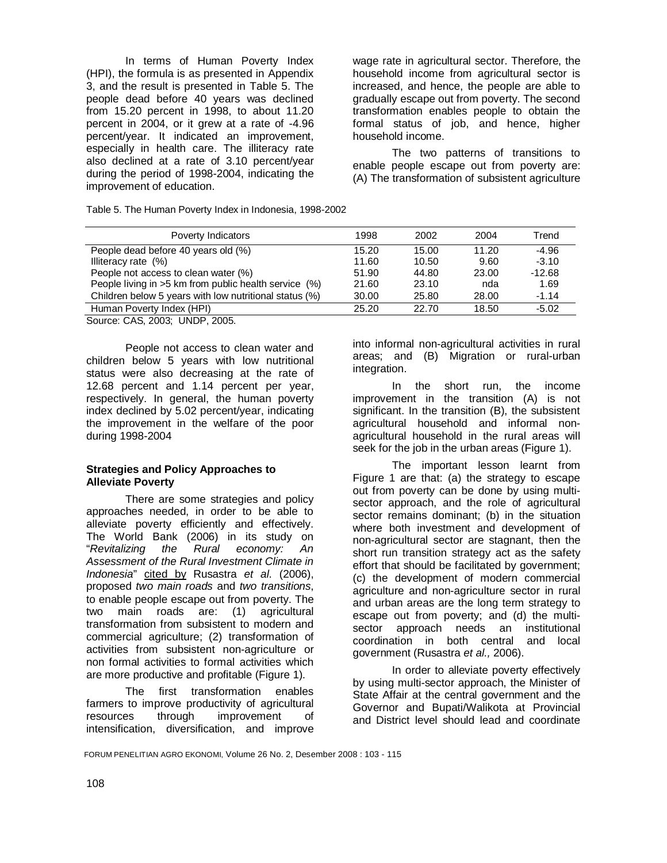In terms of Human Poverty Index (HPI), the formula is as presented in Appendix 3, and the result is presented in Table 5. The people dead before 40 years was declined from 15.20 percent in 1998, to about 11.20 percent in 2004, or it grew at a rate of -4.96 percent/year. It indicated an improvement, especially in health care. The illiteracy rate also declined at a rate of 3.10 percent/year during the period of 1998-2004, indicating the improvement of education.

Table 5. The Human Poverty Index in Indonesia, 1998-2002

wage rate in agricultural sector. Therefore, the household income from agricultural sector is increased, and hence, the people are able to gradually escape out from poverty. The second transformation enables people to obtain the formal status of job, and hence, higher household income.

The two patterns of transitions to enable people escape out from poverty are: (A) The transformation of subsistent agriculture

| Poverty Indicators                                     | 1998  | 2002  | 2004  | Trend    |
|--------------------------------------------------------|-------|-------|-------|----------|
| People dead before 40 years old (%)                    | 15.20 | 15.00 | 11.20 | $-4.96$  |
| Illiteracy rate (%)                                    | 11.60 | 10.50 | 9.60  | $-3.10$  |
| People not access to clean water (%)                   | 51.90 | 44.80 | 23.00 | $-12.68$ |
| People living in >5 km from public health service (%)  | 21.60 | 23.10 | nda   | 1.69     |
| Children below 5 years with low nutritional status (%) | 30.00 | 25.80 | 28.00 | $-1.14$  |
| Human Poverty Index (HPI)                              | 25.20 | 22.70 | 18.50 | $-5.02$  |
| Source: CAS 2003: LINDR 2005                           |       |       |       |          |

Source: CAS, 2003; UNDP, 2005.

People not access to clean water and children below 5 years with low nutritional status were also decreasing at the rate of 12.68 percent and 1.14 percent per year, respectively. In general, the human poverty index declined by 5.02 percent/year, indicating the improvement in the welfare of the poor during 1998-2004

### **Strategies and Policy Approaches to Alleviate Poverty**

There are some strategies and policy approaches needed, in order to be able to alleviate poverty efficiently and effectively. The World Bank (2006) in its study on "*Revitalizing the Rural economy: An Assessment of the Rural Investment Climate in Indonesia*" cited by Rusastra *et al*. (2006), proposed *two main roads* and *two transitions*, to enable people escape out from poverty. The two main roads are: (1) agricultural transformation from subsistent to modern and commercial agriculture; (2) transformation of activities from subsistent non-agriculture or non formal activities to formal activities which are more productive and profitable (Figure 1).

The first transformation enables farmers to improve productivity of agricultural resources through improvement of intensification, diversification, and improve into informal non-agricultural activities in rural areas; and (B) Migration or rural-urban integration.

In the short run, the income improvement in the transition (A) is not significant. In the transition (B), the subsistent agricultural household and informal nonagricultural household in the rural areas will seek for the job in the urban areas (Figure 1).

The important lesson learnt from Figure 1 are that: (a) the strategy to escape out from poverty can be done by using multisector approach, and the role of agricultural sector remains dominant; (b) in the situation where both investment and development of non-agricultural sector are stagnant, then the short run transition strategy act as the safety effort that should be facilitated by government; (c) the development of modern commercial agriculture and non-agriculture sector in rural and urban areas are the long term strategy to escape out from poverty; and (d) the multisector approach needs an institutional coordination in both central and local government (Rusastra *et al.,* 2006).

In order to alleviate poverty effectively by using multi-sector approach, the Minister of State Affair at the central government and the Governor and Bupati/Walikota at Provincial and District level should lead and coordinate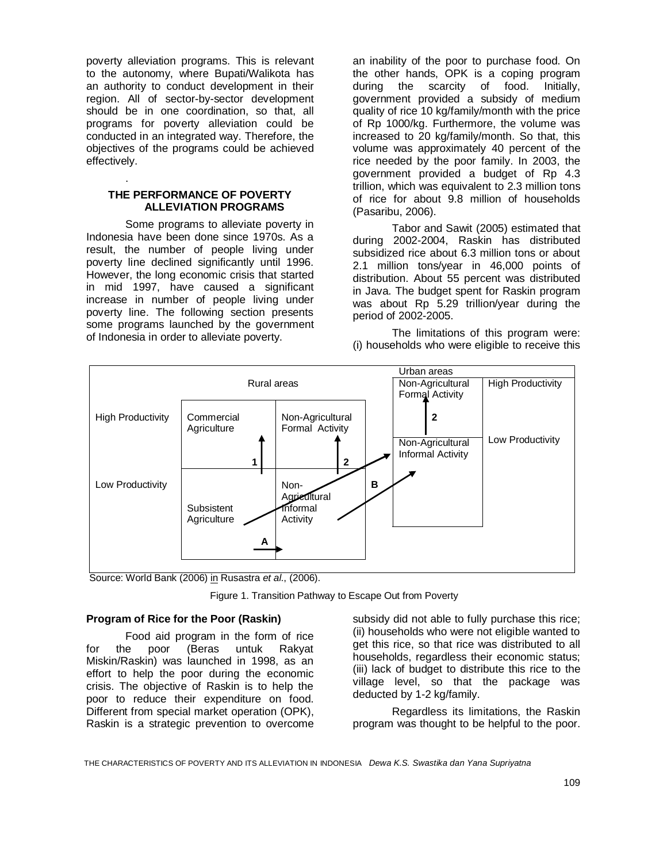poverty alleviation programs. This is relevant to the autonomy, where Bupati/Walikota has an authority to conduct development in their region. All of sector-by-sector development should be in one coordination, so that, all programs for poverty alleviation could be conducted in an integrated way. Therefore, the objectives of the programs could be achieved effectively.

### **THE PERFORMANCE OF POVERTY ALLEVIATION PROGRAMS**

.

Some programs to alleviate poverty in Indonesia have been done since 1970s. As a result, the number of people living under poverty line declined significantly until 1996. However, the long economic crisis that started in mid 1997, have caused a significant increase in number of people living under poverty line. The following section presents some programs launched by the government of Indonesia in order to alleviate poverty.

an inability of the poor to purchase food. On the other hands, OPK is a coping program during the scarcity of food. Initially, government provided a subsidy of medium quality of rice 10 kg/family/month with the price of Rp 1000/kg. Furthermore, the volume was increased to 20 kg/family/month. So that, this volume was approximately 40 percent of the rice needed by the poor family. In 2003, the government provided a budget of Rp 4.3 trillion, which was equivalent to 2.3 million tons of rice for about 9.8 million of households (Pasaribu, 2006).

Tabor and Sawit (2005) estimated that during 2002-2004, Raskin has distributed subsidized rice about 6.3 million tons or about 2.1 million tons/year in 46,000 points of distribution. About 55 percent was distributed in Java. The budget spent for Raskin program was about Rp 5.29 trillion/year during the period of 2002-2005.

The limitations of this program were: (i) households who were eligible to receive this



Source: World Bank (2006) in Rusastra *et al*., (2006).

Figure 1. Transition Pathway to Escape Out from Poverty

### **Program of Rice for the Poor (Raskin)**

Food aid program in the form of rice for the poor (Beras untuk Rakyat Miskin/Raskin) was launched in 1998, as an effort to help the poor during the economic crisis. The objective of Raskin is to help the poor to reduce their expenditure on food. Different from special market operation (OPK), Raskin is a strategic prevention to overcome subsidy did not able to fully purchase this rice; (ii) households who were not eligible wanted to get this rice, so that rice was distributed to all households, regardless their economic status; (iii) lack of budget to distribute this rice to the village level, so that the package was deducted by 1-2 kg/family.

Regardless its limitations, the Raskin program was thought to be helpful to the poor.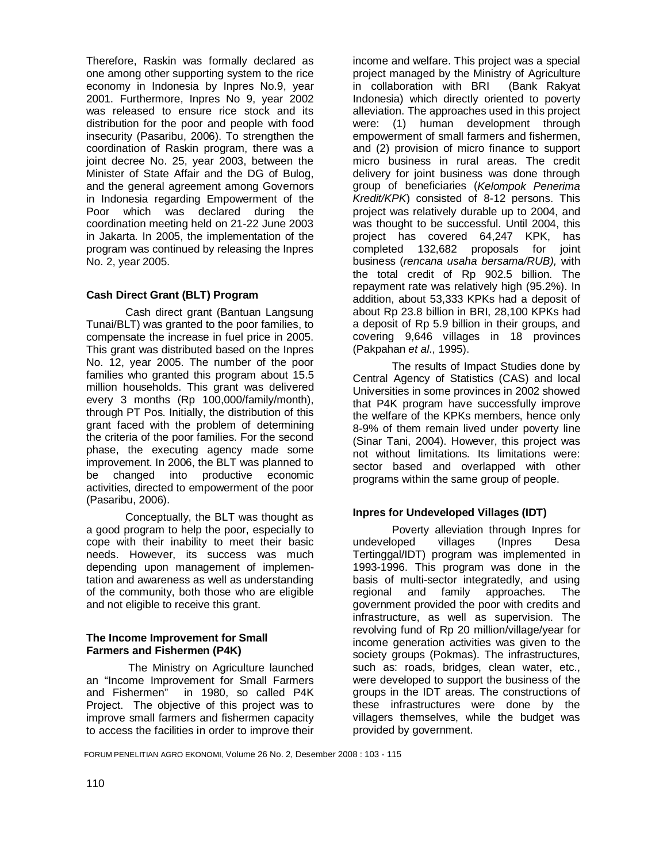Therefore, Raskin was formally declared as one among other supporting system to the rice economy in Indonesia by Inpres No.9, year 2001. Furthermore, Inpres No 9, year 2002 was released to ensure rice stock and its distribution for the poor and people with food insecurity (Pasaribu, 2006). To strengthen the coordination of Raskin program, there was a joint decree No. 25, year 2003, between the Minister of State Affair and the DG of Bulog, and the general agreement among Governors in Indonesia regarding Empowerment of the Poor which was declared during the coordination meeting held on 21-22 June 2003 in Jakarta. In 2005, the implementation of the program was continued by releasing the Inpres No. 2, year 2005.

# **Cash Direct Grant (BLT) Program**

Cash direct grant (Bantuan Langsung Tunai/BLT) was granted to the poor families, to compensate the increase in fuel price in 2005. This grant was distributed based on the Inpres No. 12, year 2005. The number of the poor families who granted this program about 15.5 million households. This grant was delivered every 3 months (Rp 100,000/family/month), through PT Pos. Initially, the distribution of this grant faced with the problem of determining the criteria of the poor families. For the second phase, the executing agency made some improvement. In 2006, the BLT was planned to be changed into productive economic activities, directed to empowerment of the poor (Pasaribu, 2006).

Conceptually, the BLT was thought as a good program to help the poor, especially to cope with their inability to meet their basic needs. However, its success was much depending upon management of implementation and awareness as well as understanding of the community, both those who are eligible and not eligible to receive this grant.

# **The Income Improvement for Small Farmers and Fishermen (P4K)**

 The Ministry on Agriculture launched an "Income Improvement for Small Farmers and Fishermen" in 1980, so called P4K Project. The objective of this project was to improve small farmers and fishermen capacity to access the facilities in order to improve their

income and welfare. This project was a special project managed by the Ministry of Agriculture in collaboration with BRI (Bank Rakyat Indonesia) which directly oriented to poverty alleviation. The approaches used in this project were: (1) human development through empowerment of small farmers and fishermen, and (2) provision of micro finance to support micro business in rural areas. The credit delivery for joint business was done through group of beneficiaries (*Kelompok Penerima Kredit/KPK*) consisted of 8-12 persons. This project was relatively durable up to 2004, and was thought to be successful. Until 2004, this project has covered 64,247 KPK, has completed 132,682 proposals for joint business (*rencana usaha bersama/RUB),* with the total credit of Rp 902.5 billion. The repayment rate was relatively high (95.2%). In addition, about 53,333 KPKs had a deposit of about Rp 23.8 billion in BRI, 28,100 KPKs had a deposit of Rp 5.9 billion in their groups, and covering 9,646 villages in 18 provinces (Pakpahan *et al*., 1995).

The results of Impact Studies done by Central Agency of Statistics (CAS) and local Universities in some provinces in 2002 showed that P4K program have successfully improve the welfare of the KPKs members, hence only 8-9% of them remain lived under poverty line (Sinar Tani, 2004). However, this project was not without limitations. Its limitations were: sector based and overlapped with other programs within the same group of people.

# **Inpres for Undeveloped Villages (IDT)**

Poverty alleviation through Inpres for undeveloped villages (Inpres Desa Tertinggal/IDT) program was implemented in 1993-1996. This program was done in the basis of multi-sector integratedly, and using regional and family approaches. The government provided the poor with credits and infrastructure, as well as supervision. The revolving fund of Rp 20 million/village/year for income generation activities was given to the society groups (Pokmas). The infrastructures, such as: roads, bridges, clean water, etc., were developed to support the business of the groups in the IDT areas. The constructions of these infrastructures were done by the villagers themselves, while the budget was provided by government.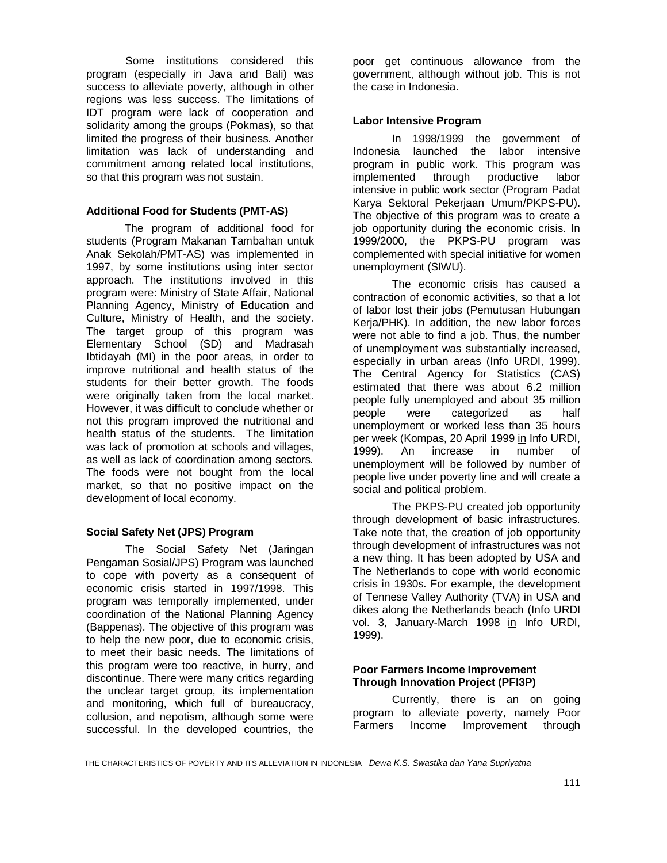Some institutions considered this program (especially in Java and Bali) was success to alleviate poverty, although in other regions was less success. The limitations of IDT program were lack of cooperation and solidarity among the groups (Pokmas), so that limited the progress of their business. Another limitation was lack of understanding and commitment among related local institutions, so that this program was not sustain.

## **Additional Food for Students (PMT-AS)**

The program of additional food for students (Program Makanan Tambahan untuk Anak Sekolah/PMT-AS) was implemented in 1997, by some institutions using inter sector approach. The institutions involved in this program were: Ministry of State Affair, National Planning Agency, Ministry of Education and Culture, Ministry of Health, and the society. The target group of this program was Elementary School (SD) and Madrasah Ibtidayah (MI) in the poor areas, in order to improve nutritional and health status of the students for their better growth. The foods were originally taken from the local market. However, it was difficult to conclude whether or not this program improved the nutritional and health status of the students. The limitation was lack of promotion at schools and villages, as well as lack of coordination among sectors. The foods were not bought from the local market, so that no positive impact on the development of local economy.

# **Social Safety Net (JPS) Program**

The Social Safety Net (Jaringan Pengaman Sosial/JPS) Program was launched to cope with poverty as a consequent of economic crisis started in 1997/1998. This program was temporally implemented, under coordination of the National Planning Agency (Bappenas). The objective of this program was to help the new poor, due to economic crisis, to meet their basic needs. The limitations of this program were too reactive, in hurry, and discontinue. There were many critics regarding the unclear target group, its implementation and monitoring, which full of bureaucracy, collusion, and nepotism, although some were successful. In the developed countries, the

poor get continuous allowance from the government, although without job. This is not the case in Indonesia.

## **Labor Intensive Program**

In 1998/1999 the government of Indonesia launched the labor intensive program in public work. This program was implemented through productive labor intensive in public work sector (Program Padat Karya Sektoral Pekerjaan Umum/PKPS-PU). The objective of this program was to create a job opportunity during the economic crisis. In 1999/2000, the PKPS-PU program was complemented with special initiative for women unemployment (SIWU).

The economic crisis has caused a contraction of economic activities, so that a lot of labor lost their jobs (Pemutusan Hubungan Kerja/PHK). In addition, the new labor forces were not able to find a job. Thus, the number of unemployment was substantially increased, especially in urban areas (Info URDI, 1999). The Central Agency for Statistics (CAS) estimated that there was about 6.2 million people fully unemployed and about 35 million people were categorized as half unemployment or worked less than 35 hours per week (Kompas, 20 April 1999 in Info URDI, 1999). An increase in number of unemployment will be followed by number of people live under poverty line and will create a social and political problem.

The PKPS-PU created job opportunity through development of basic infrastructures. Take note that, the creation of job opportunity through development of infrastructures was not a new thing. It has been adopted by USA and The Netherlands to cope with world economic crisis in 1930s. For example, the development of Tennese Valley Authority (TVA) in USA and dikes along the Netherlands beach (Info URDI vol. 3, January-March 1998 in Info URDI, 1999).

# **Poor Farmers Income Improvement Through Innovation Project (PFI3P)**

Currently, there is an on going program to alleviate poverty, namely Poor Farmers Income Improvement through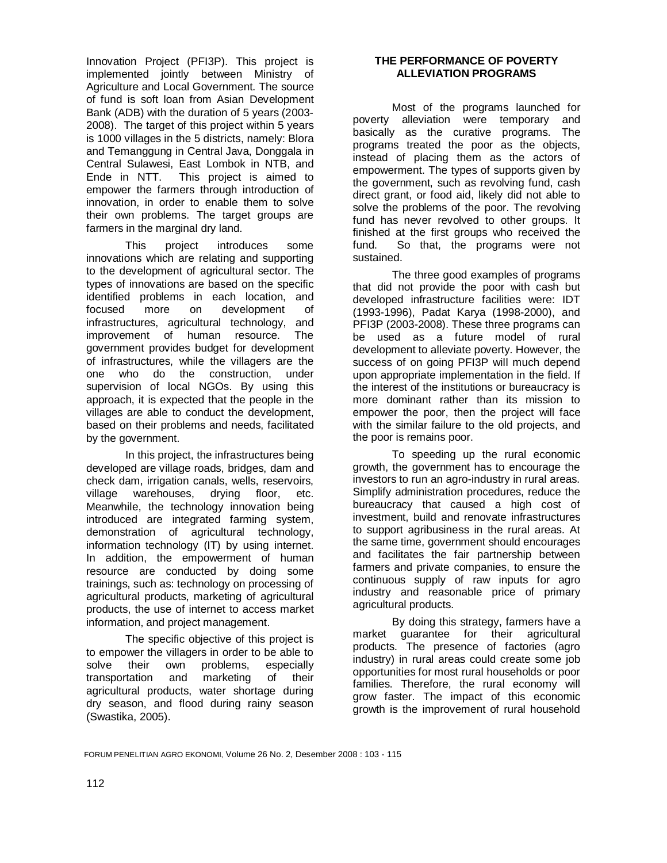Innovation Project (PFI3P). This project is implemented jointly between Ministry of Agriculture and Local Government. The source of fund is soft loan from Asian Development Bank (ADB) with the duration of 5 years (2003- 2008). The target of this project within 5 years is 1000 villages in the 5 districts, namely: Blora and Temanggung in Central Java, Donggala in Central Sulawesi, East Lombok in NTB, and Ende in NTT. This project is aimed to empower the farmers through introduction of innovation, in order to enable them to solve their own problems. The target groups are farmers in the marginal dry land.

This project introduces some innovations which are relating and supporting to the development of agricultural sector. The types of innovations are based on the specific identified problems in each location, and focused more on development of infrastructures, agricultural technology, and improvement of human resource. The government provides budget for development of infrastructures, while the villagers are the one who do the construction, under supervision of local NGOs. By using this approach, it is expected that the people in the villages are able to conduct the development, based on their problems and needs, facilitated by the government.

In this project, the infrastructures being developed are village roads, bridges, dam and check dam, irrigation canals, wells, reservoirs, village warehouses, drying floor, etc. Meanwhile, the technology innovation being introduced are integrated farming system, demonstration of agricultural technology, information technology (IT) by using internet. In addition, the empowerment of human resource are conducted by doing some trainings, such as: technology on processing of agricultural products, marketing of agricultural products, the use of internet to access market information, and project management.

The specific objective of this project is to empower the villagers in order to be able to solve their own problems, especially transportation and marketing of their agricultural products, water shortage during dry season, and flood during rainy season (Swastika, 2005).

# **THE PERFORMANCE OF POVERTY ALLEVIATION PROGRAMS**

Most of the programs launched for poverty alleviation were temporary and basically as the curative programs. The programs treated the poor as the objects, instead of placing them as the actors of empowerment. The types of supports given by the government, such as revolving fund, cash direct grant, or food aid, likely did not able to solve the problems of the poor. The revolving fund has never revolved to other groups. It finished at the first groups who received the fund. So that, the programs were not sustained.

The three good examples of programs that did not provide the poor with cash but developed infrastructure facilities were: IDT (1993-1996), Padat Karya (1998-2000), and PFI3P (2003-2008). These three programs can be used as a future model of rural development to alleviate poverty. However, the success of on going PFI3P will much depend upon appropriate implementation in the field. If the interest of the institutions or bureaucracy is more dominant rather than its mission to empower the poor, then the project will face with the similar failure to the old projects, and the poor is remains poor.

To speeding up the rural economic growth, the government has to encourage the investors to run an agro-industry in rural areas. Simplify administration procedures, reduce the bureaucracy that caused a high cost of investment, build and renovate infrastructures to support agribusiness in the rural areas. At the same time, government should encourages and facilitates the fair partnership between farmers and private companies, to ensure the continuous supply of raw inputs for agro industry and reasonable price of primary agricultural products.

By doing this strategy, farmers have a market guarantee for their agricultural products. The presence of factories (agro industry) in rural areas could create some job opportunities for most rural households or poor families. Therefore, the rural economy will grow faster. The impact of this economic growth is the improvement of rural household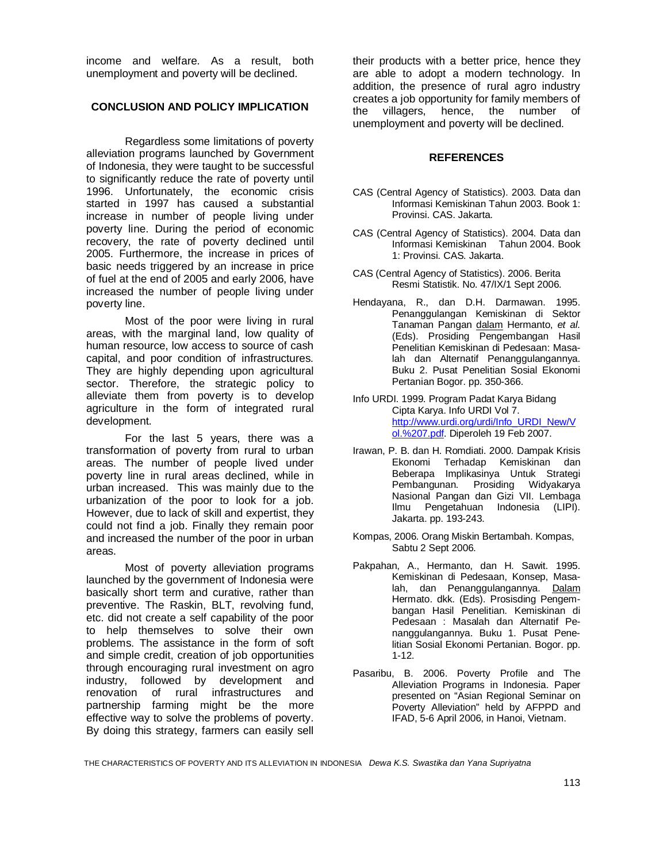income and welfare. As a result, both unemployment and poverty will be declined.

# **CONCLUSION AND POLICY IMPLICATION**

Regardless some limitations of poverty alleviation programs launched by Government of Indonesia, they were taught to be successful to significantly reduce the rate of poverty until 1996. Unfortunately, the economic crisis started in 1997 has caused a substantial increase in number of people living under poverty line. During the period of economic recovery, the rate of poverty declined until 2005. Furthermore, the increase in prices of basic needs triggered by an increase in price of fuel at the end of 2005 and early 2006, have increased the number of people living under poverty line.

Most of the poor were living in rural areas, with the marginal land, low quality of human resource, low access to source of cash capital, and poor condition of infrastructures. They are highly depending upon agricultural sector. Therefore, the strategic policy to alleviate them from poverty is to develop agriculture in the form of integrated rural development.

For the last 5 years, there was a transformation of poverty from rural to urban areas. The number of people lived under poverty line in rural areas declined, while in urban increased. This was mainly due to the urbanization of the poor to look for a job. However, due to lack of skill and expertist, they could not find a job. Finally they remain poor and increased the number of the poor in urban areas.

Most of poverty alleviation programs launched by the government of Indonesia were basically short term and curative, rather than preventive. The Raskin, BLT, revolving fund, etc. did not create a self capability of the poor to help themselves to solve their own problems. The assistance in the form of soft and simple credit, creation of job opportunities through encouraging rural investment on agro industry, followed by development and renovation of rural infrastructures and partnership farming might be the more effective way to solve the problems of poverty. By doing this strategy, farmers can easily sell

their products with a better price, hence they are able to adopt a modern technology. In addition, the presence of rural agro industry creates a job opportunity for family members of the villagers, hence, the number of unemployment and poverty will be declined.

## **REFERENCES**

- CAS (Central Agency of Statistics). 2003. Data dan Informasi Kemiskinan Tahun 2003. Book 1: Provinsi. CAS. Jakarta.
- CAS (Central Agency of Statistics). 2004. Data dan Informasi Kemiskinan Tahun 2004. Book 1: Provinsi. CAS. Jakarta.
- CAS (Central Agency of Statistics). 2006. Berita Resmi Statistik. No. 47/IX/1 Sept 2006.
- Hendayana, R., dan D.H. Darmawan. 1995. Penanggulangan Kemiskinan di Sektor Tanaman Pangan dalam Hermanto, *et al*. (Eds). Prosiding Pengembangan Hasil Penelitian Kemiskinan di Pedesaan: Masalah dan Alternatif Penanggulangannya. Buku 2. Pusat Penelitian Sosial Ekonomi Pertanian Bogor. pp. 350-366.
- Info URDI. 1999. Program Padat Karya Bidang Cipta Karya. Info URDI Vol 7. http://www.urdi.org/urdi/Info\_URDI\_New/V ol.%207.pdf. Diperoleh 19 Feb 2007.
- Irawan, P. B. dan H. Romdiati. 2000. Dampak Krisis Ekonomi Terhadap Kemiskinan dan Beberapa Implikasinya Untuk Strategi Pembangunan. Prosiding Widyakarya Nasional Pangan dan Gizi VII. Lembaga Ilmu Pengetahuan Indonesia (LIPI). Jakarta. pp. 193-243.
- Kompas, 2006. Orang Miskin Bertambah. Kompas, Sabtu 2 Sept 2006.
- Pakpahan, A., Hermanto, dan H. Sawit. 1995. Kemiskinan di Pedesaan, Konsep, Masalah, dan Penanggulangannya. Dalam Hermato. dkk. (Eds). Prosisding Pengembangan Hasil Penelitian. Kemiskinan di Pedesaan : Masalah dan Alternatif Penanggulangannya. Buku 1. Pusat Penelitian Sosial Ekonomi Pertanian. Bogor. pp. 1-12.
- Pasaribu, B. 2006. Poverty Profile and The Alleviation Programs in Indonesia. Paper presented on "Asian Regional Seminar on Poverty Alleviation" held by AFPPD and IFAD, 5-6 April 2006, in Hanoi, Vietnam.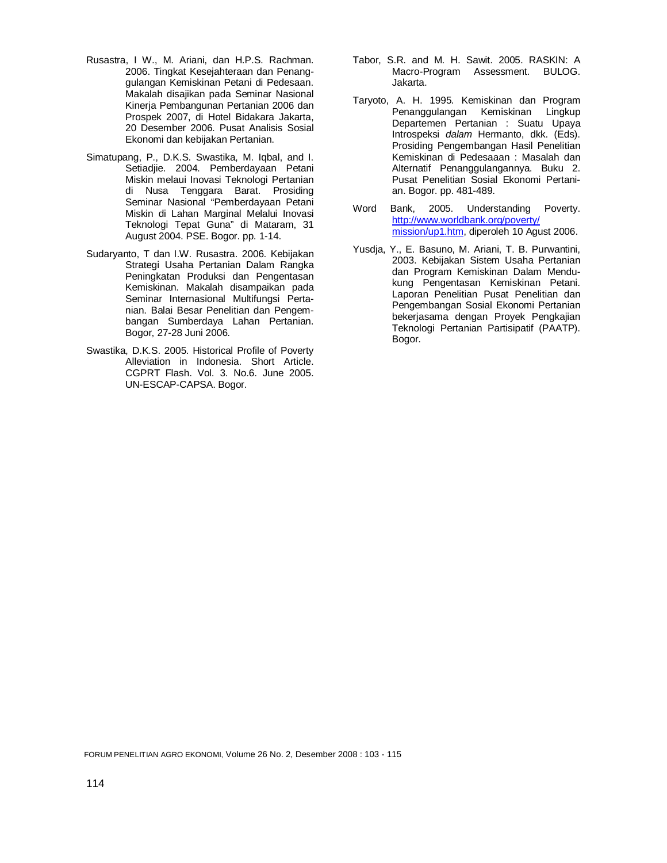- Rusastra, I W., M. Ariani, dan H.P.S. Rachman. 2006. Tingkat Kesejahteraan dan Penanggulangan Kemiskinan Petani di Pedesaan. Makalah disajikan pada Seminar Nasional Kinerja Pembangunan Pertanian 2006 dan Prospek 2007, di Hotel Bidakara Jakarta, 20 Desember 2006. Pusat Analisis Sosial Ekonomi dan kebijakan Pertanian.
- Simatupang, P., D.K.S. Swastika, M. Iqbal, and I. Setiadjie. 2004. Pemberdayaan Petani Miskin melaui Inovasi Teknologi Pertanian di Nusa Tenggara Barat. Prosiding Seminar Nasional "Pemberdayaan Petani Miskin di Lahan Marginal Melalui Inovasi Teknologi Tepat Guna" di Mataram, 31 August 2004. PSE. Bogor. pp. 1-14.
- Sudaryanto, T dan I.W. Rusastra. 2006. Kebijakan Strategi Usaha Pertanian Dalam Rangka Peningkatan Produksi dan Pengentasan Kemiskinan. Makalah disampaikan pada Seminar Internasional Multifungsi Pertanian. Balai Besar Penelitian dan Pengembangan Sumberdaya Lahan Pertanian. Bogor, 27-28 Juni 2006.
- Swastika, D.K.S. 2005. Historical Profile of Poverty Alleviation in Indonesia. Short Article. CGPRT Flash. Vol. 3. No.6. June 2005. UN-ESCAP-CAPSA. Bogor.
- Tabor, S.R. and M. H. Sawit. 2005. RASKIN: A Macro-Program Assessment. BULOG. Jakarta.
- Taryoto, A. H. 1995. Kemiskinan dan Program Penanggulangan Kemiskinan Lingkup Departemen Pertanian : Suatu Upaya Introspeksi *dalam* Hermanto, dkk. (Eds). Prosiding Pengembangan Hasil Penelitian Kemiskinan di Pedesaaan : Masalah dan Alternatif Penanggulangannya. Buku 2. Pusat Penelitian Sosial Ekonomi Pertanian. Bogor. pp. 481-489.
- Word Bank, 2005. Understanding Poverty. http://www.worldbank.org/poverty/ mission/up1.htm, diperoleh 10 Agust 2006.
- Yusdja, Y., E. Basuno, M. Ariani, T. B. Purwantini, 2003. Kebijakan Sistem Usaha Pertanian dan Program Kemiskinan Dalam Mendukung Pengentasan Kemiskinan Petani. Laporan Penelitian Pusat Penelitian dan Pengembangan Sosial Ekonomi Pertanian bekerjasama dengan Proyek Pengkajian Teknologi Pertanian Partisipatif (PAATP). Bogor.